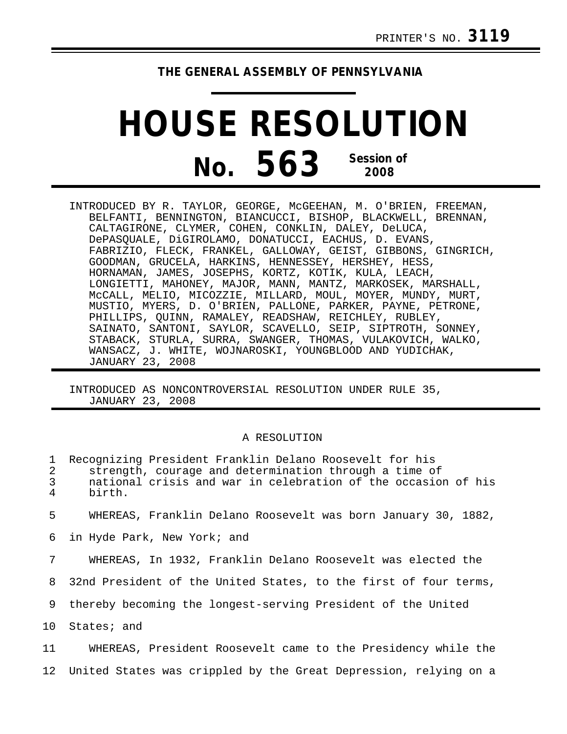## **THE GENERAL ASSEMBLY OF PENNSYLVANIA**

## **HOUSE RESOLUTION No. 563 Session of 2008**

INTRODUCED BY R. TAYLOR, GEORGE, McGEEHAN, M. O'BRIEN, FREEMAN, BELFANTI, BENNINGTON, BIANCUCCI, BISHOP, BLACKWELL, BRENNAN, CALTAGIRONE, CLYMER, COHEN, CONKLIN, DALEY, DeLUCA, DePASQUALE, DiGIROLAMO, DONATUCCI, EACHUS, D. EVANS, FABRIZIO, FLECK, FRANKEL, GALLOWAY, GEIST, GIBBONS, GINGRICH, GOODMAN, GRUCELA, HARKINS, HENNESSEY, HERSHEY, HESS, HORNAMAN, JAMES, JOSEPHS, KORTZ, KOTIK, KULA, LEACH, LONGIETTI, MAHONEY, MAJOR, MANN, MANTZ, MARKOSEK, MARSHALL, McCALL, MELIO, MICOZZIE, MILLARD, MOUL, MOYER, MUNDY, MURT, MUSTIO, MYERS, D. O'BRIEN, PALLONE, PARKER, PAYNE, PETRONE, PHILLIPS, QUINN, RAMALEY, READSHAW, REICHLEY, RUBLEY, SAINATO, SANTONI, SAYLOR, SCAVELLO, SEIP, SIPTROTH, SONNEY, STABACK, STURLA, SURRA, SWANGER, THOMAS, VULAKOVICH, WALKO, WANSACZ, J. WHITE, WOJNAROSKI, YOUNGBLOOD AND YUDICHAK, JANUARY 23, 2008

INTRODUCED AS NONCONTROVERSIAL RESOLUTION UNDER RULE 35, JANUARY 23, 2008

## A RESOLUTION

| 1<br>2<br>$\mathfrak{Z}$<br>4 | Recognizing President Franklin Delano Roosevelt for his<br>strength, courage and determination through a time of<br>national crisis and war in celebration of the occasion of his<br>birth. |
|-------------------------------|---------------------------------------------------------------------------------------------------------------------------------------------------------------------------------------------|
| 5                             | WHEREAS, Franklin Delano Roosevelt was born January 30, 1882,                                                                                                                               |
| 6                             | in Hyde Park, New York; and                                                                                                                                                                 |
| 7                             | WHEREAS, In 1932, Franklin Delano Roosevelt was elected the                                                                                                                                 |
| 8                             | 32nd President of the United States, to the first of four terms,                                                                                                                            |
| 9                             | thereby becoming the longest-serving President of the United                                                                                                                                |
| 10                            | States; and                                                                                                                                                                                 |
| 11                            | WHEREAS, President Roosevelt came to the Presidency while the                                                                                                                               |
|                               | 12 United States was crippled by the Great Depression, relying on a                                                                                                                         |
|                               |                                                                                                                                                                                             |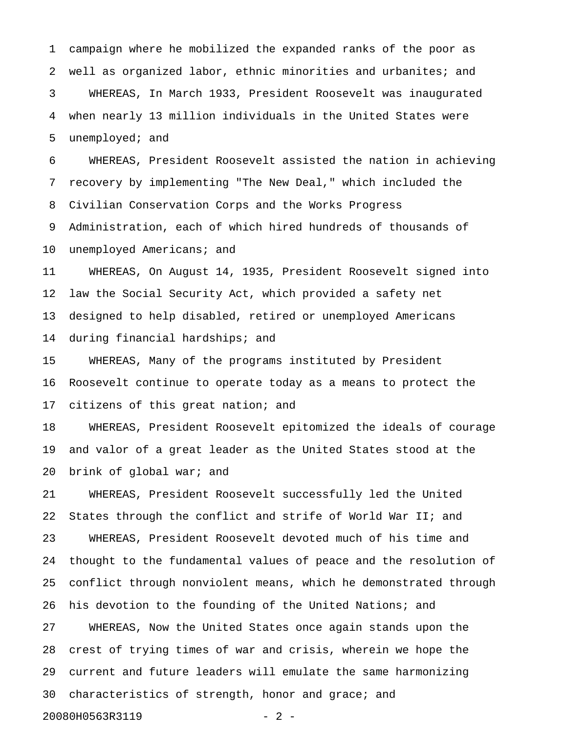1 campaign where he mobilized the expanded ranks of the poor as 2 well as organized labor, ethnic minorities and urbanites; and 3 WHEREAS, In March 1933, President Roosevelt was inaugurated 4 when nearly 13 million individuals in the United States were 5 unemployed; and

6 WHEREAS, President Roosevelt assisted the nation in achieving 7 recovery by implementing "The New Deal," which included the 8 Civilian Conservation Corps and the Works Progress

9 Administration, each of which hired hundreds of thousands of 10 unemployed Americans; and

11 WHEREAS, On August 14, 1935, President Roosevelt signed into 12 law the Social Security Act, which provided a safety net 13 designed to help disabled, retired or unemployed Americans 14 during financial hardships; and

15 WHEREAS, Many of the programs instituted by President 16 Roosevelt continue to operate today as a means to protect the 17 citizens of this great nation; and

18 WHEREAS, President Roosevelt epitomized the ideals of courage 19 and valor of a great leader as the United States stood at the 20 brink of global war; and

21 WHEREAS, President Roosevelt successfully led the United 22 States through the conflict and strife of World War II; and 23 WHEREAS, President Roosevelt devoted much of his time and 24 thought to the fundamental values of peace and the resolution of 25 conflict through nonviolent means, which he demonstrated through 26 his devotion to the founding of the United Nations; and 27 WHEREAS, Now the United States once again stands upon the 28 crest of trying times of war and crisis, wherein we hope the 29 current and future leaders will emulate the same harmonizing 30 characteristics of strength, honor and grace; and 20080H0563R3119 - 2 -